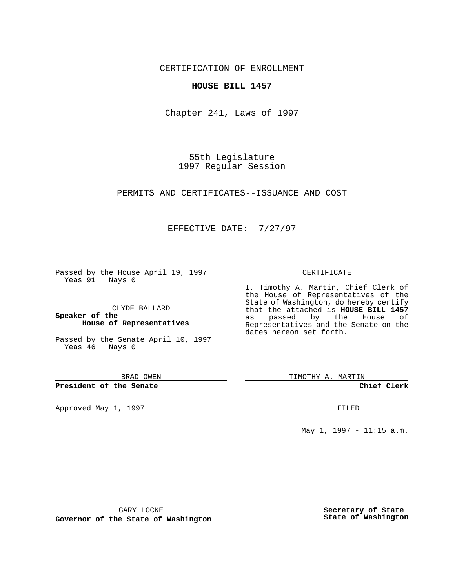CERTIFICATION OF ENROLLMENT

## **HOUSE BILL 1457**

Chapter 241, Laws of 1997

55th Legislature 1997 Regular Session

PERMITS AND CERTIFICATES--ISSUANCE AND COST

## EFFECTIVE DATE: 7/27/97

Passed by the House April 19, 1997 Yeas 91 Nays 0

CLYDE BALLARD

**Speaker of the House of Representatives**

Passed by the Senate April 10, 1997 Yeas 46 Nays 0

BRAD OWEN

**President of the Senate**

Approved May 1, 1997 **FILED** 

#### CERTIFICATE

I, Timothy A. Martin, Chief Clerk of the House of Representatives of the State of Washington, do hereby certify that the attached is **HOUSE BILL 1457** as passed by the House of Representatives and the Senate on the dates hereon set forth.

TIMOTHY A. MARTIN

**Chief Clerk**

May 1, 1997 - 11:15 a.m.

GARY LOCKE

**Governor of the State of Washington**

**Secretary of State State of Washington**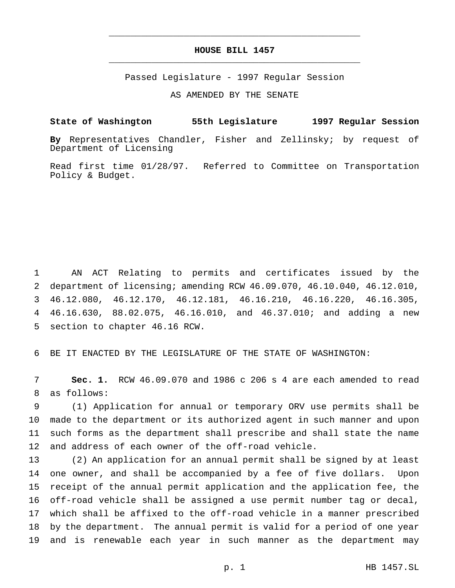# **HOUSE BILL 1457** \_\_\_\_\_\_\_\_\_\_\_\_\_\_\_\_\_\_\_\_\_\_\_\_\_\_\_\_\_\_\_\_\_\_\_\_\_\_\_\_\_\_\_\_\_\_\_

\_\_\_\_\_\_\_\_\_\_\_\_\_\_\_\_\_\_\_\_\_\_\_\_\_\_\_\_\_\_\_\_\_\_\_\_\_\_\_\_\_\_\_\_\_\_\_

Passed Legislature - 1997 Regular Session

AS AMENDED BY THE SENATE

## **State of Washington 55th Legislature 1997 Regular Session**

**By** Representatives Chandler, Fisher and Zellinsky; by request of Department of Licensing

Read first time 01/28/97. Referred to Committee on Transportation Policy & Budget.

 AN ACT Relating to permits and certificates issued by the department of licensing; amending RCW 46.09.070, 46.10.040, 46.12.010, 46.12.080, 46.12.170, 46.12.181, 46.16.210, 46.16.220, 46.16.305, 46.16.630, 88.02.075, 46.16.010, and 46.37.010; and adding a new section to chapter 46.16 RCW.

BE IT ENACTED BY THE LEGISLATURE OF THE STATE OF WASHINGTON:

 **Sec. 1.** RCW 46.09.070 and 1986 c 206 s 4 are each amended to read as follows:

 (1) Application for annual or temporary ORV use permits shall be made to the department or its authorized agent in such manner and upon such forms as the department shall prescribe and shall state the name and address of each owner of the off-road vehicle.

 (2) An application for an annual permit shall be signed by at least one owner, and shall be accompanied by a fee of five dollars. Upon receipt of the annual permit application and the application fee, the off-road vehicle shall be assigned a use permit number tag or decal, which shall be affixed to the off-road vehicle in a manner prescribed by the department. The annual permit is valid for a period of one year and is renewable each year in such manner as the department may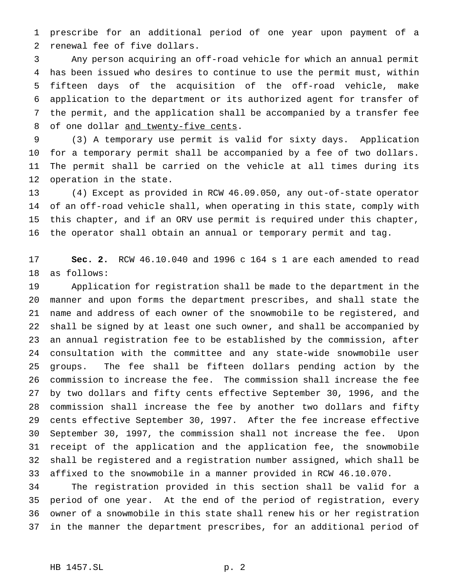prescribe for an additional period of one year upon payment of a renewal fee of five dollars.

 Any person acquiring an off-road vehicle for which an annual permit has been issued who desires to continue to use the permit must, within fifteen days of the acquisition of the off-road vehicle, make application to the department or its authorized agent for transfer of the permit, and the application shall be accompanied by a transfer fee 8 of one dollar and twenty-five cents.

 (3) A temporary use permit is valid for sixty days. Application for a temporary permit shall be accompanied by a fee of two dollars. The permit shall be carried on the vehicle at all times during its operation in the state.

 (4) Except as provided in RCW 46.09.050, any out-of-state operator of an off-road vehicle shall, when operating in this state, comply with this chapter, and if an ORV use permit is required under this chapter, the operator shall obtain an annual or temporary permit and tag.

 **Sec. 2.** RCW 46.10.040 and 1996 c 164 s 1 are each amended to read as follows:

 Application for registration shall be made to the department in the manner and upon forms the department prescribes, and shall state the name and address of each owner of the snowmobile to be registered, and shall be signed by at least one such owner, and shall be accompanied by an annual registration fee to be established by the commission, after consultation with the committee and any state-wide snowmobile user groups. The fee shall be fifteen dollars pending action by the commission to increase the fee. The commission shall increase the fee by two dollars and fifty cents effective September 30, 1996, and the commission shall increase the fee by another two dollars and fifty cents effective September 30, 1997. After the fee increase effective September 30, 1997, the commission shall not increase the fee. Upon receipt of the application and the application fee, the snowmobile shall be registered and a registration number assigned, which shall be affixed to the snowmobile in a manner provided in RCW 46.10.070.

 The registration provided in this section shall be valid for a period of one year. At the end of the period of registration, every owner of a snowmobile in this state shall renew his or her registration in the manner the department prescribes, for an additional period of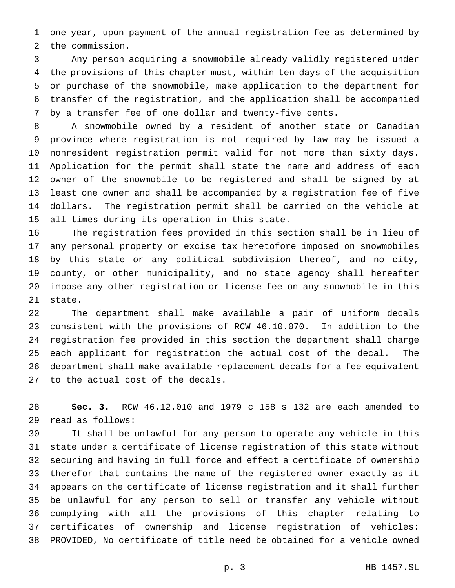one year, upon payment of the annual registration fee as determined by the commission.

 Any person acquiring a snowmobile already validly registered under the provisions of this chapter must, within ten days of the acquisition or purchase of the snowmobile, make application to the department for transfer of the registration, and the application shall be accompanied 7 by a transfer fee of one dollar and twenty-five cents.

 A snowmobile owned by a resident of another state or Canadian province where registration is not required by law may be issued a nonresident registration permit valid for not more than sixty days. Application for the permit shall state the name and address of each owner of the snowmobile to be registered and shall be signed by at least one owner and shall be accompanied by a registration fee of five dollars. The registration permit shall be carried on the vehicle at all times during its operation in this state.

 The registration fees provided in this section shall be in lieu of any personal property or excise tax heretofore imposed on snowmobiles by this state or any political subdivision thereof, and no city, county, or other municipality, and no state agency shall hereafter impose any other registration or license fee on any snowmobile in this state.

 The department shall make available a pair of uniform decals consistent with the provisions of RCW 46.10.070. In addition to the registration fee provided in this section the department shall charge each applicant for registration the actual cost of the decal. The department shall make available replacement decals for a fee equivalent to the actual cost of the decals.

 **Sec. 3.** RCW 46.12.010 and 1979 c 158 s 132 are each amended to read as follows:

 It shall be unlawful for any person to operate any vehicle in this state under a certificate of license registration of this state without securing and having in full force and effect a certificate of ownership therefor that contains the name of the registered owner exactly as it appears on the certificate of license registration and it shall further be unlawful for any person to sell or transfer any vehicle without complying with all the provisions of this chapter relating to certificates of ownership and license registration of vehicles: PROVIDED, No certificate of title need be obtained for a vehicle owned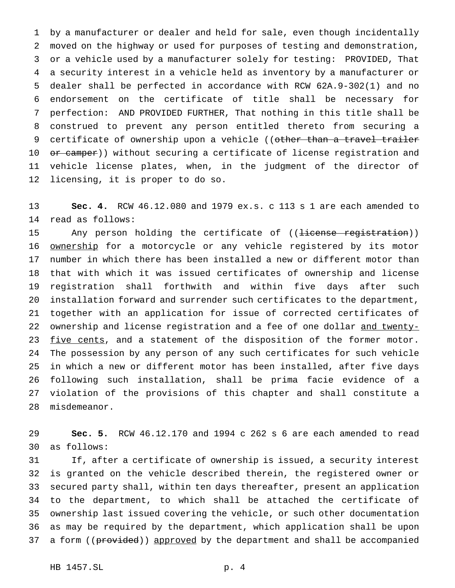by a manufacturer or dealer and held for sale, even though incidentally moved on the highway or used for purposes of testing and demonstration, or a vehicle used by a manufacturer solely for testing: PROVIDED, That a security interest in a vehicle held as inventory by a manufacturer or dealer shall be perfected in accordance with RCW 62A.9-302(1) and no endorsement on the certificate of title shall be necessary for perfection: AND PROVIDED FURTHER, That nothing in this title shall be construed to prevent any person entitled thereto from securing a 9 certificate of ownership upon a vehicle ((other than a travel trailer 10 or camper)) without securing a certificate of license registration and vehicle license plates, when, in the judgment of the director of licensing, it is proper to do so.

 **Sec. 4.** RCW 46.12.080 and 1979 ex.s. c 113 s 1 are each amended to read as follows:

15 Any person holding the certificate of ((<del>license registration</del>)) **ownership** for a motorcycle or any vehicle registered by its motor number in which there has been installed a new or different motor than that with which it was issued certificates of ownership and license registration shall forthwith and within five days after such installation forward and surrender such certificates to the department, together with an application for issue of corrected certificates of 22 ownership and license registration and a fee of one dollar and twenty-23 five cents, and a statement of the disposition of the former motor. The possession by any person of any such certificates for such vehicle in which a new or different motor has been installed, after five days following such installation, shall be prima facie evidence of a violation of the provisions of this chapter and shall constitute a misdemeanor.

 **Sec. 5.** RCW 46.12.170 and 1994 c 262 s 6 are each amended to read as follows:

 If, after a certificate of ownership is issued, a security interest is granted on the vehicle described therein, the registered owner or secured party shall, within ten days thereafter, present an application to the department, to which shall be attached the certificate of ownership last issued covering the vehicle, or such other documentation as may be required by the department, which application shall be upon 37 a form ((provided)) approved by the department and shall be accompanied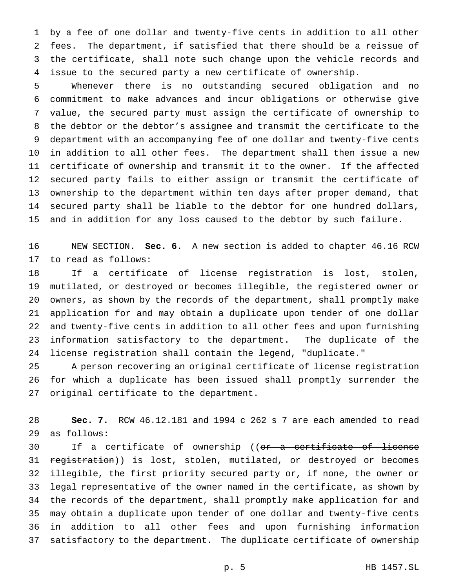by a fee of one dollar and twenty-five cents in addition to all other fees. The department, if satisfied that there should be a reissue of the certificate, shall note such change upon the vehicle records and issue to the secured party a new certificate of ownership.

 Whenever there is no outstanding secured obligation and no commitment to make advances and incur obligations or otherwise give value, the secured party must assign the certificate of ownership to the debtor or the debtor's assignee and transmit the certificate to the department with an accompanying fee of one dollar and twenty-five cents in addition to all other fees. The department shall then issue a new certificate of ownership and transmit it to the owner. If the affected secured party fails to either assign or transmit the certificate of ownership to the department within ten days after proper demand, that secured party shall be liable to the debtor for one hundred dollars, and in addition for any loss caused to the debtor by such failure.

 NEW SECTION. **Sec. 6.** A new section is added to chapter 46.16 RCW to read as follows:

 If a certificate of license registration is lost, stolen, mutilated, or destroyed or becomes illegible, the registered owner or owners, as shown by the records of the department, shall promptly make application for and may obtain a duplicate upon tender of one dollar and twenty-five cents in addition to all other fees and upon furnishing information satisfactory to the department. The duplicate of the license registration shall contain the legend, "duplicate."

 A person recovering an original certificate of license registration for which a duplicate has been issued shall promptly surrender the original certificate to the department.

 **Sec. 7.** RCW 46.12.181 and 1994 c 262 s 7 are each amended to read as follows:

30 If a certificate of ownership ((or a certificate of license 31 registration)) is lost, stolen, mutilated, or destroyed or becomes illegible, the first priority secured party or, if none, the owner or legal representative of the owner named in the certificate, as shown by the records of the department, shall promptly make application for and may obtain a duplicate upon tender of one dollar and twenty-five cents in addition to all other fees and upon furnishing information satisfactory to the department. The duplicate certificate of ownership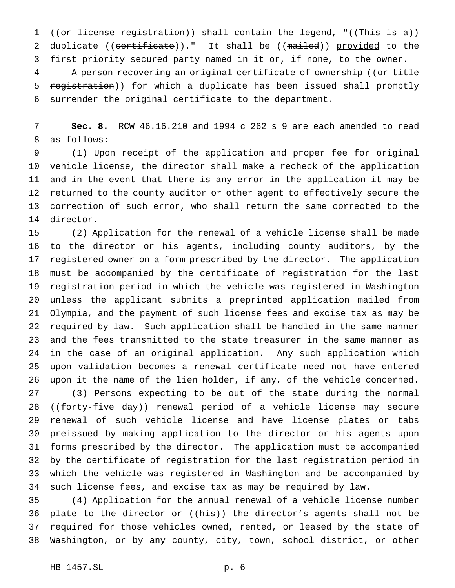1 ((or license registration)) shall contain the legend, "((This is a)) 2 duplicate ((certificate))." It shall be ((mailed)) provided to the first priority secured party named in it or, if none, to the owner. 4 A person recovering an original certificate of ownership ((or title 5 registration)) for which a duplicate has been issued shall promptly surrender the original certificate to the department.

 **Sec. 8.** RCW 46.16.210 and 1994 c 262 s 9 are each amended to read as follows:

 (1) Upon receipt of the application and proper fee for original vehicle license, the director shall make a recheck of the application and in the event that there is any error in the application it may be returned to the county auditor or other agent to effectively secure the correction of such error, who shall return the same corrected to the director.

 (2) Application for the renewal of a vehicle license shall be made to the director or his agents, including county auditors, by the registered owner on a form prescribed by the director. The application must be accompanied by the certificate of registration for the last registration period in which the vehicle was registered in Washington unless the applicant submits a preprinted application mailed from Olympia, and the payment of such license fees and excise tax as may be required by law. Such application shall be handled in the same manner and the fees transmitted to the state treasurer in the same manner as in the case of an original application. Any such application which upon validation becomes a renewal certificate need not have entered upon it the name of the lien holder, if any, of the vehicle concerned. (3) Persons expecting to be out of the state during the normal 28 ((forty-five day)) renewal period of a vehicle license may secure renewal of such vehicle license and have license plates or tabs preissued by making application to the director or his agents upon forms prescribed by the director. The application must be accompanied by the certificate of registration for the last registration period in which the vehicle was registered in Washington and be accompanied by such license fees, and excise tax as may be required by law.

 (4) Application for the annual renewal of a vehicle license number 36 plate to the director or ((his)) the director's agents shall not be required for those vehicles owned, rented, or leased by the state of Washington, or by any county, city, town, school district, or other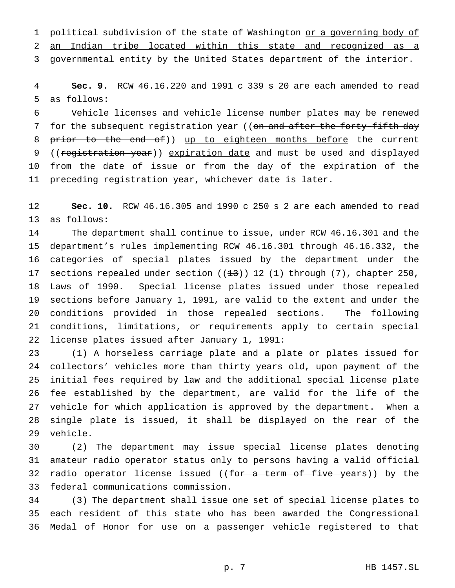1 political subdivision of the state of Washington or a governing body of

an Indian tribe located within this state and recognized as a

governmental entity by the United States department of the interior.

 **Sec. 9.** RCW 46.16.220 and 1991 c 339 s 20 are each amended to read as follows:

 Vehicle licenses and vehicle license number plates may be renewed 7 for the subsequent registration year ((on and after the forty-fifth day 8 prior to the end of)) up to eighteen months before the current 9 ((registration year)) expiration date and must be used and displayed from the date of issue or from the day of the expiration of the preceding registration year, whichever date is later.

 **Sec. 10.** RCW 46.16.305 and 1990 c 250 s 2 are each amended to read as follows:

 The department shall continue to issue, under RCW 46.16.301 and the department's rules implementing RCW 46.16.301 through 46.16.332, the categories of special plates issued by the department under the 17 sections repealed under section  $((13))$   $12$  (1) through (7), chapter 250, Laws of 1990. Special license plates issued under those repealed sections before January 1, 1991, are valid to the extent and under the conditions provided in those repealed sections. The following conditions, limitations, or requirements apply to certain special license plates issued after January 1, 1991:

 (1) A horseless carriage plate and a plate or plates issued for collectors' vehicles more than thirty years old, upon payment of the initial fees required by law and the additional special license plate fee established by the department, are valid for the life of the vehicle for which application is approved by the department. When a single plate is issued, it shall be displayed on the rear of the vehicle.

 (2) The department may issue special license plates denoting amateur radio operator status only to persons having a valid official 32 radio operator license issued ((for a term of five years)) by the federal communications commission.

 (3) The department shall issue one set of special license plates to each resident of this state who has been awarded the Congressional Medal of Honor for use on a passenger vehicle registered to that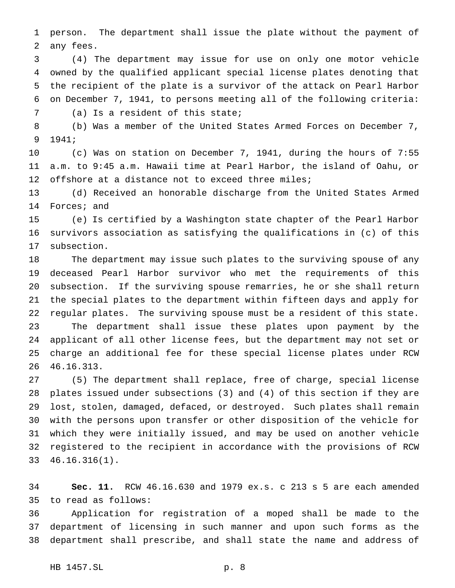person. The department shall issue the plate without the payment of any fees.

 (4) The department may issue for use on only one motor vehicle owned by the qualified applicant special license plates denoting that the recipient of the plate is a survivor of the attack on Pearl Harbor on December 7, 1941, to persons meeting all of the following criteria:

(a) Is a resident of this state;

 (b) Was a member of the United States Armed Forces on December 7, 1941;

 (c) Was on station on December 7, 1941, during the hours of 7:55 a.m. to 9:45 a.m. Hawaii time at Pearl Harbor, the island of Oahu, or 12 offshore at a distance not to exceed three miles;

 (d) Received an honorable discharge from the United States Armed Forces; and

 (e) Is certified by a Washington state chapter of the Pearl Harbor survivors association as satisfying the qualifications in (c) of this subsection.

 The department may issue such plates to the surviving spouse of any deceased Pearl Harbor survivor who met the requirements of this subsection. If the surviving spouse remarries, he or she shall return the special plates to the department within fifteen days and apply for regular plates. The surviving spouse must be a resident of this state. The department shall issue these plates upon payment by the applicant of all other license fees, but the department may not set or charge an additional fee for these special license plates under RCW 46.16.313.

 (5) The department shall replace, free of charge, special license plates issued under subsections (3) and (4) of this section if they are lost, stolen, damaged, defaced, or destroyed. Such plates shall remain with the persons upon transfer or other disposition of the vehicle for which they were initially issued, and may be used on another vehicle registered to the recipient in accordance with the provisions of RCW 46.16.316(1).

 **Sec. 11.** RCW 46.16.630 and 1979 ex.s. c 213 s 5 are each amended to read as follows:

 Application for registration of a moped shall be made to the department of licensing in such manner and upon such forms as the department shall prescribe, and shall state the name and address of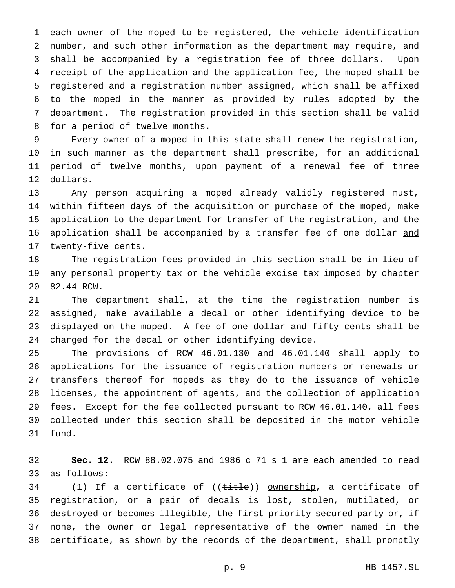each owner of the moped to be registered, the vehicle identification number, and such other information as the department may require, and shall be accompanied by a registration fee of three dollars. Upon receipt of the application and the application fee, the moped shall be registered and a registration number assigned, which shall be affixed to the moped in the manner as provided by rules adopted by the department. The registration provided in this section shall be valid for a period of twelve months.

 Every owner of a moped in this state shall renew the registration, in such manner as the department shall prescribe, for an additional period of twelve months, upon payment of a renewal fee of three dollars.

 Any person acquiring a moped already validly registered must, within fifteen days of the acquisition or purchase of the moped, make application to the department for transfer of the registration, and the 16 application shall be accompanied by a transfer fee of one dollar and 17 twenty-five cents.

 The registration fees provided in this section shall be in lieu of any personal property tax or the vehicle excise tax imposed by chapter 82.44 RCW.

 The department shall, at the time the registration number is assigned, make available a decal or other identifying device to be displayed on the moped. A fee of one dollar and fifty cents shall be charged for the decal or other identifying device.

 The provisions of RCW 46.01.130 and 46.01.140 shall apply to applications for the issuance of registration numbers or renewals or transfers thereof for mopeds as they do to the issuance of vehicle licenses, the appointment of agents, and the collection of application fees. Except for the fee collected pursuant to RCW 46.01.140, all fees collected under this section shall be deposited in the motor vehicle fund.

 **Sec. 12.** RCW 88.02.075 and 1986 c 71 s 1 are each amended to read as follows:

34 (1) If a certificate of ((title)) ownership, a certificate of registration, or a pair of decals is lost, stolen, mutilated, or destroyed or becomes illegible, the first priority secured party or, if none, the owner or legal representative of the owner named in the certificate, as shown by the records of the department, shall promptly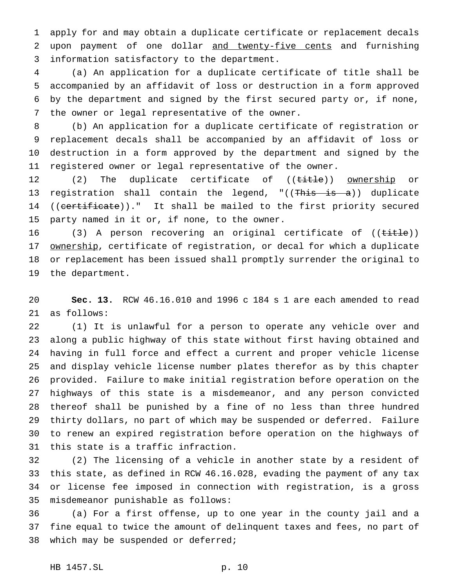apply for and may obtain a duplicate certificate or replacement decals upon payment of one dollar and twenty-five cents and furnishing information satisfactory to the department.

 (a) An application for a duplicate certificate of title shall be accompanied by an affidavit of loss or destruction in a form approved by the department and signed by the first secured party or, if none, the owner or legal representative of the owner.

 (b) An application for a duplicate certificate of registration or replacement decals shall be accompanied by an affidavit of loss or destruction in a form approved by the department and signed by the registered owner or legal representative of the owner.

12 (2) The duplicate certificate of ((title)) ownership or 13 registration shall contain the legend, "((This is a)) duplicate 14 ((certificate))." It shall be mailed to the first priority secured party named in it or, if none, to the owner.

16 (3) A person recovering an original certificate of ((title)) 17 ownership, certificate of registration, or decal for which a duplicate or replacement has been issued shall promptly surrender the original to the department.

 **Sec. 13.** RCW 46.16.010 and 1996 c 184 s 1 are each amended to read as follows:

 (1) It is unlawful for a person to operate any vehicle over and along a public highway of this state without first having obtained and having in full force and effect a current and proper vehicle license and display vehicle license number plates therefor as by this chapter provided. Failure to make initial registration before operation on the highways of this state is a misdemeanor, and any person convicted thereof shall be punished by a fine of no less than three hundred thirty dollars, no part of which may be suspended or deferred. Failure to renew an expired registration before operation on the highways of this state is a traffic infraction.

 (2) The licensing of a vehicle in another state by a resident of this state, as defined in RCW 46.16.028, evading the payment of any tax or license fee imposed in connection with registration, is a gross misdemeanor punishable as follows:

 (a) For a first offense, up to one year in the county jail and a fine equal to twice the amount of delinquent taxes and fees, no part of which may be suspended or deferred;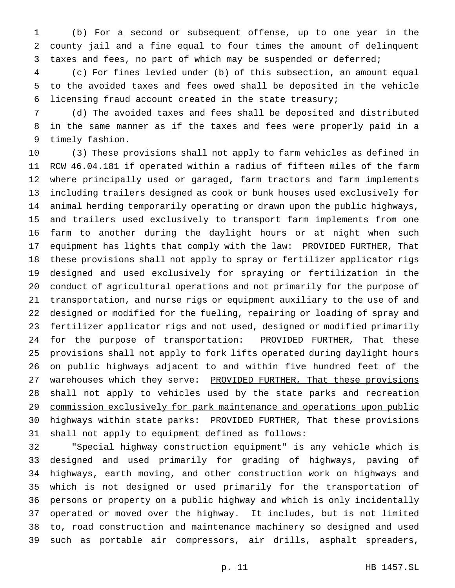(b) For a second or subsequent offense, up to one year in the county jail and a fine equal to four times the amount of delinquent taxes and fees, no part of which may be suspended or deferred;

 (c) For fines levied under (b) of this subsection, an amount equal to the avoided taxes and fees owed shall be deposited in the vehicle licensing fraud account created in the state treasury;

 (d) The avoided taxes and fees shall be deposited and distributed in the same manner as if the taxes and fees were properly paid in a timely fashion.

 (3) These provisions shall not apply to farm vehicles as defined in RCW 46.04.181 if operated within a radius of fifteen miles of the farm where principally used or garaged, farm tractors and farm implements including trailers designed as cook or bunk houses used exclusively for animal herding temporarily operating or drawn upon the public highways, and trailers used exclusively to transport farm implements from one farm to another during the daylight hours or at night when such equipment has lights that comply with the law: PROVIDED FURTHER, That these provisions shall not apply to spray or fertilizer applicator rigs designed and used exclusively for spraying or fertilization in the conduct of agricultural operations and not primarily for the purpose of transportation, and nurse rigs or equipment auxiliary to the use of and designed or modified for the fueling, repairing or loading of spray and fertilizer applicator rigs and not used, designed or modified primarily for the purpose of transportation: PROVIDED FURTHER, That these provisions shall not apply to fork lifts operated during daylight hours on public highways adjacent to and within five hundred feet of the 27 warehouses which they serve: PROVIDED FURTHER, That these provisions 28 shall not apply to vehicles used by the state parks and recreation commission exclusively for park maintenance and operations upon public 30 highways within state parks: PROVIDED FURTHER, That these provisions shall not apply to equipment defined as follows:

 "Special highway construction equipment" is any vehicle which is designed and used primarily for grading of highways, paving of highways, earth moving, and other construction work on highways and which is not designed or used primarily for the transportation of persons or property on a public highway and which is only incidentally operated or moved over the highway. It includes, but is not limited to, road construction and maintenance machinery so designed and used such as portable air compressors, air drills, asphalt spreaders,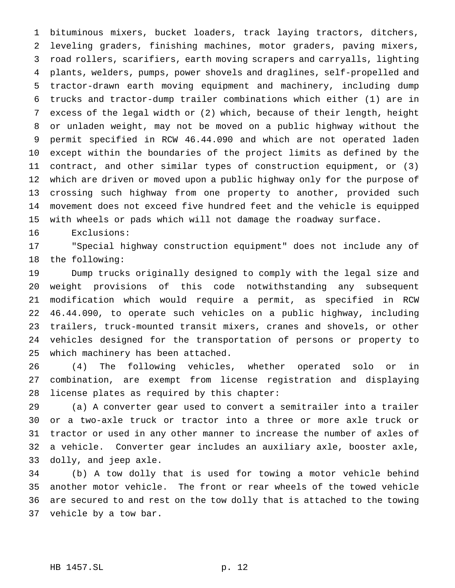bituminous mixers, bucket loaders, track laying tractors, ditchers, leveling graders, finishing machines, motor graders, paving mixers, road rollers, scarifiers, earth moving scrapers and carryalls, lighting plants, welders, pumps, power shovels and draglines, self-propelled and tractor-drawn earth moving equipment and machinery, including dump trucks and tractor-dump trailer combinations which either (1) are in excess of the legal width or (2) which, because of their length, height or unladen weight, may not be moved on a public highway without the permit specified in RCW 46.44.090 and which are not operated laden except within the boundaries of the project limits as defined by the contract, and other similar types of construction equipment, or (3) which are driven or moved upon a public highway only for the purpose of crossing such highway from one property to another, provided such movement does not exceed five hundred feet and the vehicle is equipped with wheels or pads which will not damage the roadway surface.

Exclusions:

 "Special highway construction equipment" does not include any of the following:

 Dump trucks originally designed to comply with the legal size and weight provisions of this code notwithstanding any subsequent modification which would require a permit, as specified in RCW 46.44.090, to operate such vehicles on a public highway, including trailers, truck-mounted transit mixers, cranes and shovels, or other vehicles designed for the transportation of persons or property to which machinery has been attached.

 (4) The following vehicles, whether operated solo or in combination, are exempt from license registration and displaying license plates as required by this chapter:

 (a) A converter gear used to convert a semitrailer into a trailer or a two-axle truck or tractor into a three or more axle truck or tractor or used in any other manner to increase the number of axles of a vehicle. Converter gear includes an auxiliary axle, booster axle, dolly, and jeep axle.

 (b) A tow dolly that is used for towing a motor vehicle behind another motor vehicle. The front or rear wheels of the towed vehicle are secured to and rest on the tow dolly that is attached to the towing vehicle by a tow bar.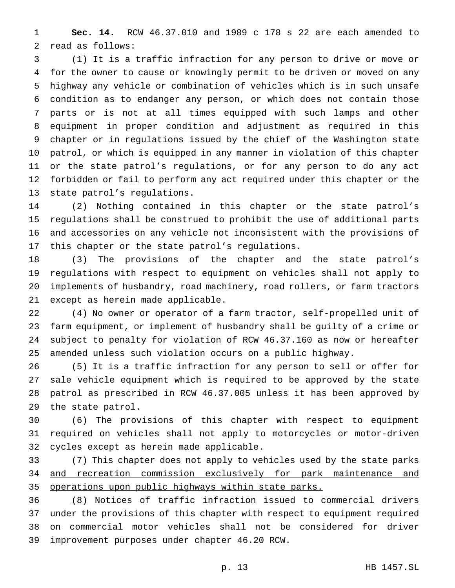**Sec. 14.** RCW 46.37.010 and 1989 c 178 s 22 are each amended to read as follows:

 (1) It is a traffic infraction for any person to drive or move or for the owner to cause or knowingly permit to be driven or moved on any highway any vehicle or combination of vehicles which is in such unsafe condition as to endanger any person, or which does not contain those parts or is not at all times equipped with such lamps and other equipment in proper condition and adjustment as required in this chapter or in regulations issued by the chief of the Washington state patrol, or which is equipped in any manner in violation of this chapter or the state patrol's regulations, or for any person to do any act forbidden or fail to perform any act required under this chapter or the state patrol's regulations.

 (2) Nothing contained in this chapter or the state patrol's regulations shall be construed to prohibit the use of additional parts and accessories on any vehicle not inconsistent with the provisions of this chapter or the state patrol's regulations.

 (3) The provisions of the chapter and the state patrol's regulations with respect to equipment on vehicles shall not apply to implements of husbandry, road machinery, road rollers, or farm tractors except as herein made applicable.

 (4) No owner or operator of a farm tractor, self-propelled unit of farm equipment, or implement of husbandry shall be guilty of a crime or subject to penalty for violation of RCW 46.37.160 as now or hereafter amended unless such violation occurs on a public highway.

 (5) It is a traffic infraction for any person to sell or offer for sale vehicle equipment which is required to be approved by the state patrol as prescribed in RCW 46.37.005 unless it has been approved by the state patrol.

 (6) The provisions of this chapter with respect to equipment required on vehicles shall not apply to motorcycles or motor-driven cycles except as herein made applicable.

33 (7) This chapter does not apply to vehicles used by the state parks 34 and recreation commission exclusively for park maintenance and operations upon public highways within state parks.

 (8) Notices of traffic infraction issued to commercial drivers under the provisions of this chapter with respect to equipment required on commercial motor vehicles shall not be considered for driver improvement purposes under chapter 46.20 RCW.